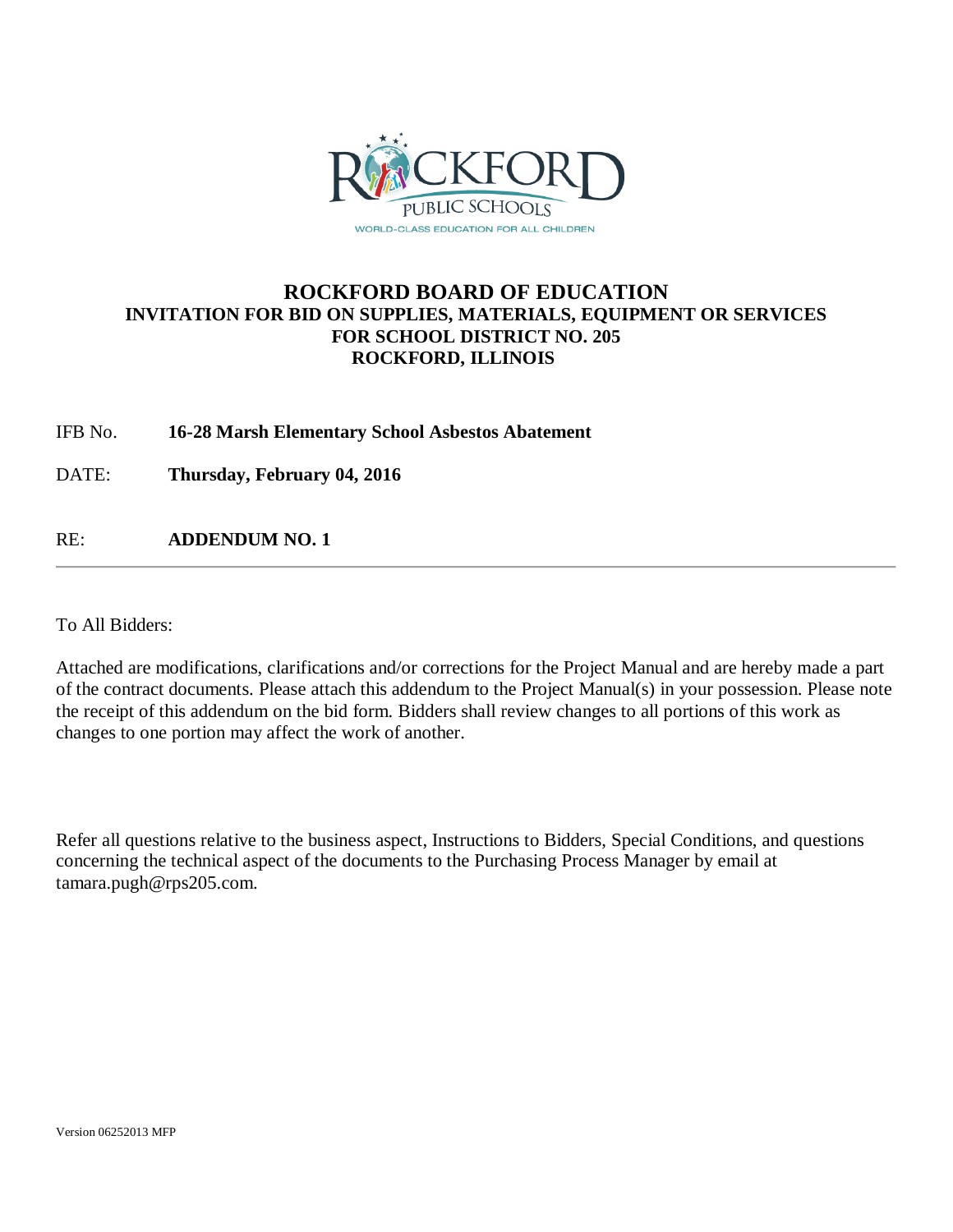

## **ROCKFORD BOARD OF EDUCATION INVITATION FOR BID ON SUPPLIES, MATERIALS, EQUIPMENT OR SERVICES FOR SCHOOL DISTRICT NO. 205 ROCKFORD, ILLINOIS**

IFB No. **16-28 Marsh Elementary School Asbestos Abatement**

DATE: **Thursday, February 04, 2016**

RE: **ADDENDUM NO. 1**

To All Bidders:

Attached are modifications, clarifications and/or corrections for the Project Manual and are hereby made a part of the contract documents. Please attach this addendum to the Project Manual(s) in your possession. Please note the receipt of this addendum on the bid form. Bidders shall review changes to all portions of this work as changes to one portion may affect the work of another.

Refer all questions relative to the business aspect, Instructions to Bidders, Special Conditions, and questions concerning the technical aspect of the documents to the Purchasing Process Manager by email at tamara.pugh@rps205.com.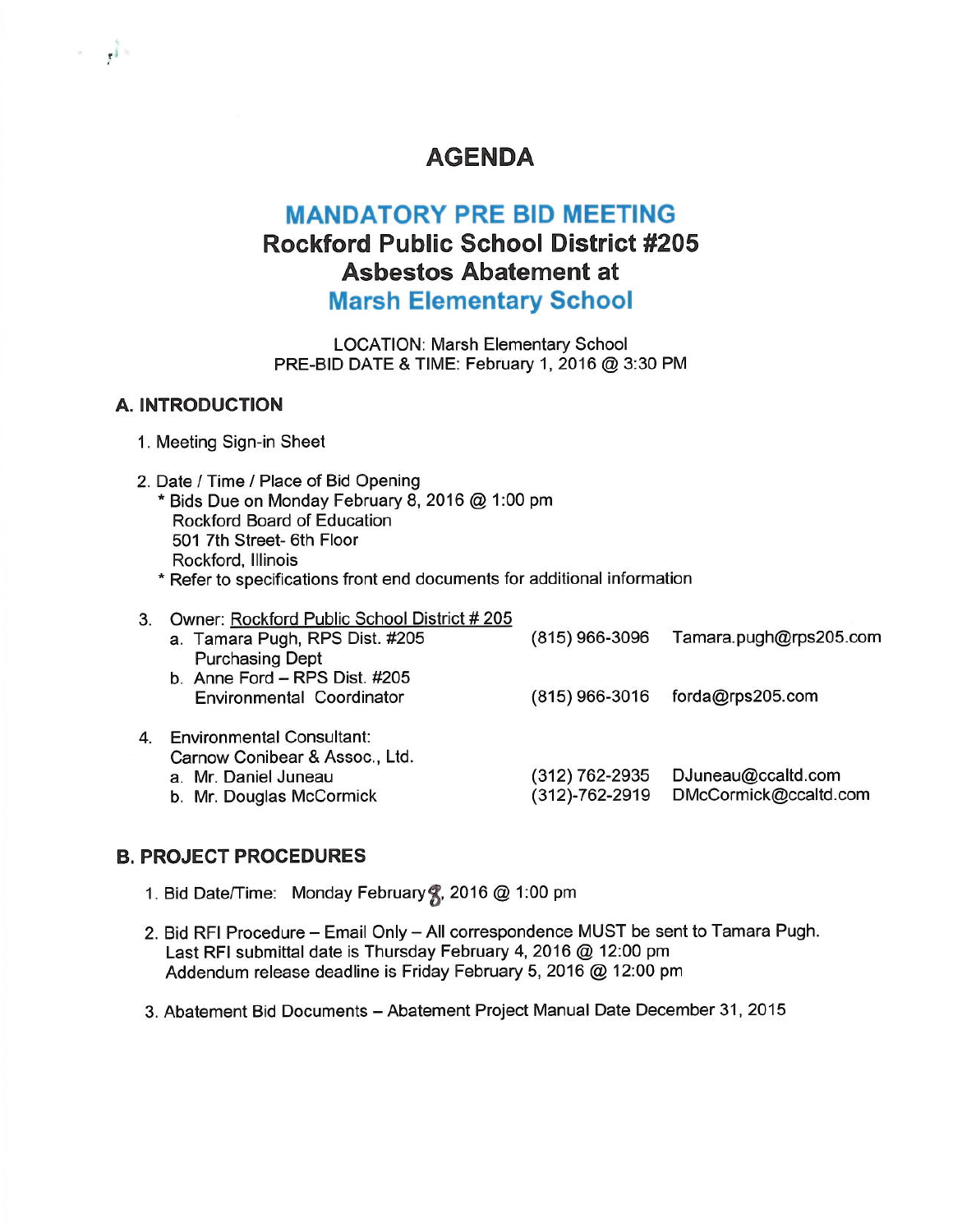# **AGENDA**

# **MANDATORY PRE BID MEETING Rockford Public School District #205 Asbestos Abatement at Marsh Elementary School**

**LOCATION: Marsh Elementary School** PRE-BID DATE & TIME: February 1, 2016 @ 3:30 PM

### **A. INTRODUCTION**

 $\mathbf{r}$ 

- 1. Meeting Sign-in Sheet
- 2. Date / Time / Place of Bid Opening \* Bids Due on Monday February 8, 2016 @ 1:00 pm Rockford Board of Education 501 7th Street- 6th Floor Rockford, Illinois \* Refer to specifications front end documents for additional information
- 3. Owner: Rockford Public School District #205 a. Tamara Pugh, RPS Dist. #205 (815) 966-3096 Tamara.pugh@rps205.com **Purchasing Dept** b. Anne Ford - RPS Dist. #205 Environmental Coordinator (815) 966-3016 forda@rps205.com 4. Environmental Consultant: Carnow Conibear & Assoc., Ltd. (312) 762-2935 DJuneau@ccaltd.com a. Mr. Daniel Juneau (312)-762-2919 DMcCormick@ccaltd.com b. Mr. Douglas McCormick

## **B. PROJECT PROCEDURES**

- 1. Bid Date/Time: Monday February , 2016 @ 1:00 pm
- 2. Bid RFI Procedure Email Only All correspondence MUST be sent to Tamara Pugh. Last RFI submittal date is Thursday February 4, 2016 @ 12:00 pm Addendum release deadline is Friday February 5, 2016 @ 12:00 pm
- 3. Abatement Bid Documents Abatement Project Manual Date December 31, 2015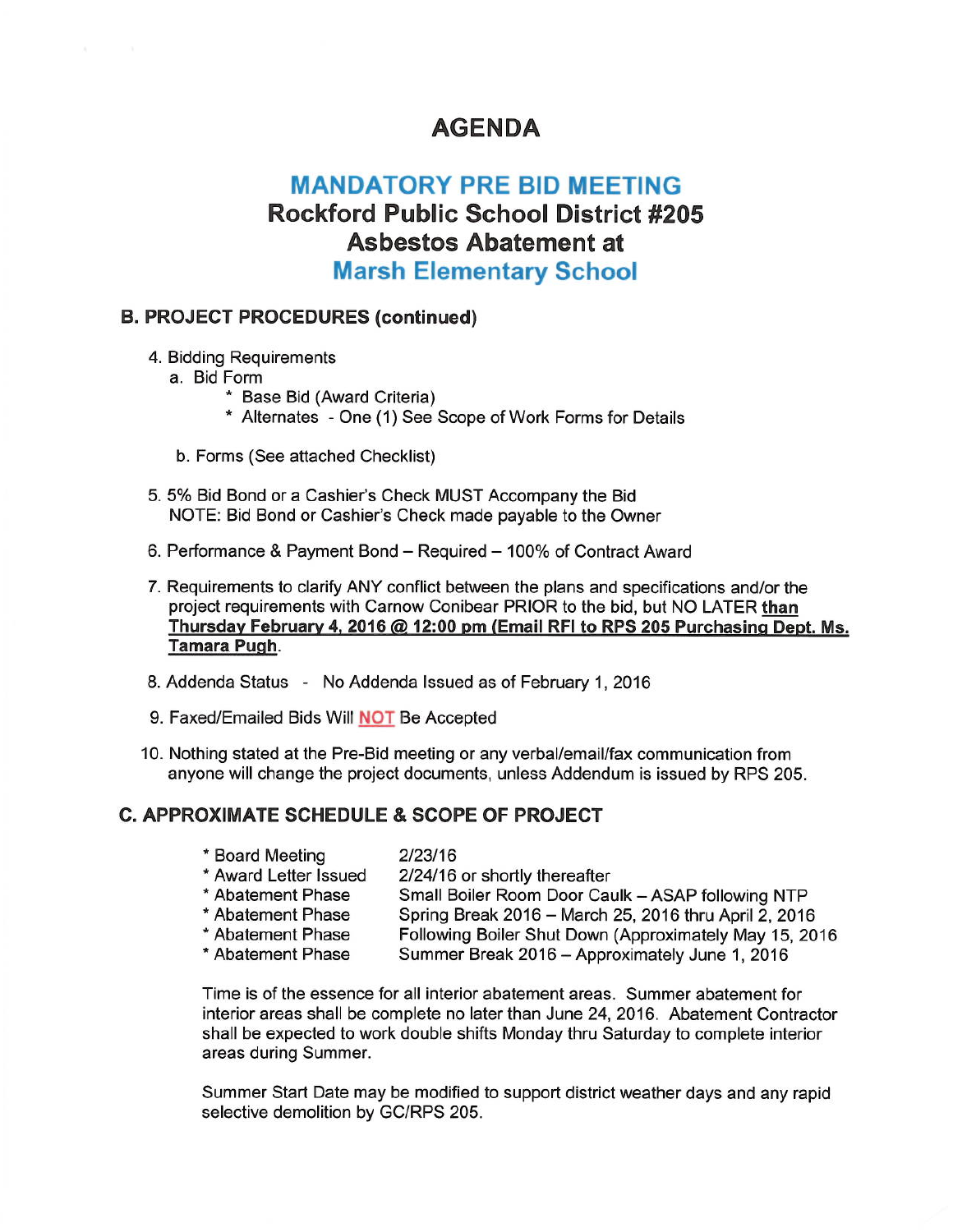## **AGENDA**

# **MANDATORY PRE BID MEETING Rockford Public School District #205 Asbestos Abatement at Marsh Elementary School**

### **B. PROJECT PROCEDURES (continued)**

- 4. Bidding Requirements
	- a. Bid Form
		- \* Base Bid (Award Criteria)
		- \* Alternates One (1) See Scope of Work Forms for Details
	- b. Forms (See attached Checklist)
- 5. 5% Bid Bond or a Cashier's Check MUST Accompany the Bid NOTE: Bid Bond or Cashier's Check made payable to the Owner
- 6. Performance & Payment Bond Required 100% of Contract Award
- 7. Requirements to clarify ANY conflict between the plans and specifications and/or the project requirements with Carnow Conibear PRIOR to the bid, but NO LATER than Thursday February 4, 2016 @ 12:00 pm (Email RFI to RPS 205 Purchasing Dept. Ms. Tamara Pugh.
- 8. Addenda Status No Addenda Issued as of February 1, 2016
- 9. Faxed/Emailed Bids Will **NOT** Be Accepted
- 10. Nothing stated at the Pre-Bid meeting or any verbal/email/fax communication from anyone will change the project documents, unless Addendum is issued by RPS 205.

## **C. APPROXIMATE SCHEDULE & SCOPE OF PROJECT**

- \* Board Meeting  $2/23/16$ \* Award Letter Issued 2/24/16 or shortly thereafter
- \* Abatement Phase Small Boiler Room Door Caulk - ASAP following NTP
- \* Abatement Phase Spring Break 2016 - March 25, 2016 thru April 2, 2016 \* Abatement Phase Following Boiler Shut Down (Approximately May 15, 2016
- \* Abatement Phase Summer Break 2016 - Approximately June 1, 2016

Time is of the essence for all interior abatement areas. Summer abatement for interior areas shall be complete no later than June 24, 2016. Abatement Contractor shall be expected to work double shifts Monday thru Saturday to complete interior areas during Summer.

Summer Start Date may be modified to support district weather days and any rapid selective demolition by GC/RPS 205.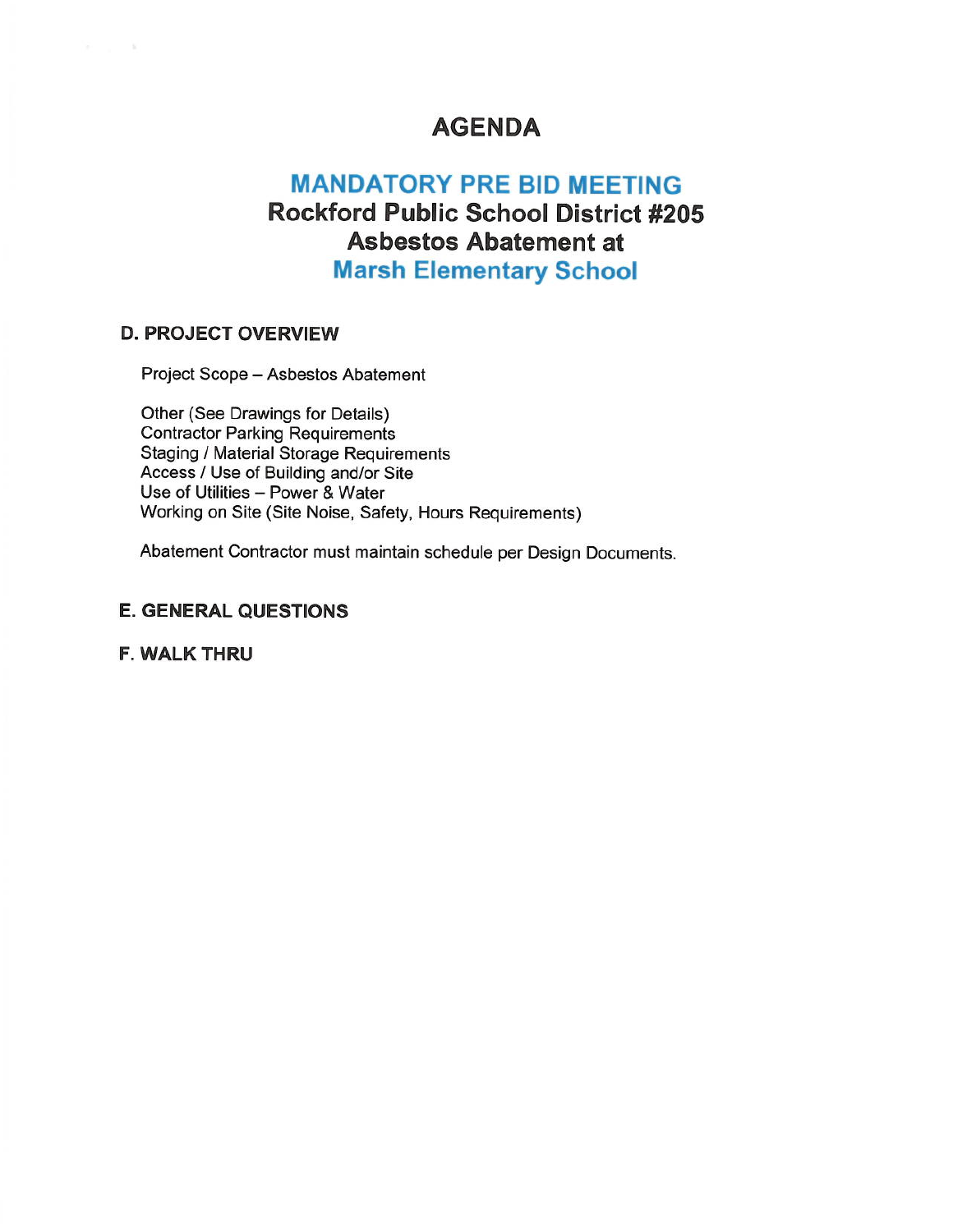## **AGENDA**

# **MANDATORY PRE BID MEETING Rockford Public School District #205 Asbestos Abatement at Marsh Elementary School**

## **D. PROJECT OVERVIEW**

 $\lambda_1,\ldots,\lambda_n$ 

Project Scope - Asbestos Abatement

Other (See Drawings for Details) **Contractor Parking Requirements** Staging / Material Storage Requirements Access / Use of Building and/or Site Use of Utilities - Power & Water Working on Site (Site Noise, Safety, Hours Requirements)

Abatement Contractor must maintain schedule per Design Documents.

### **E. GENERAL QUESTIONS**

**F. WALK THRU**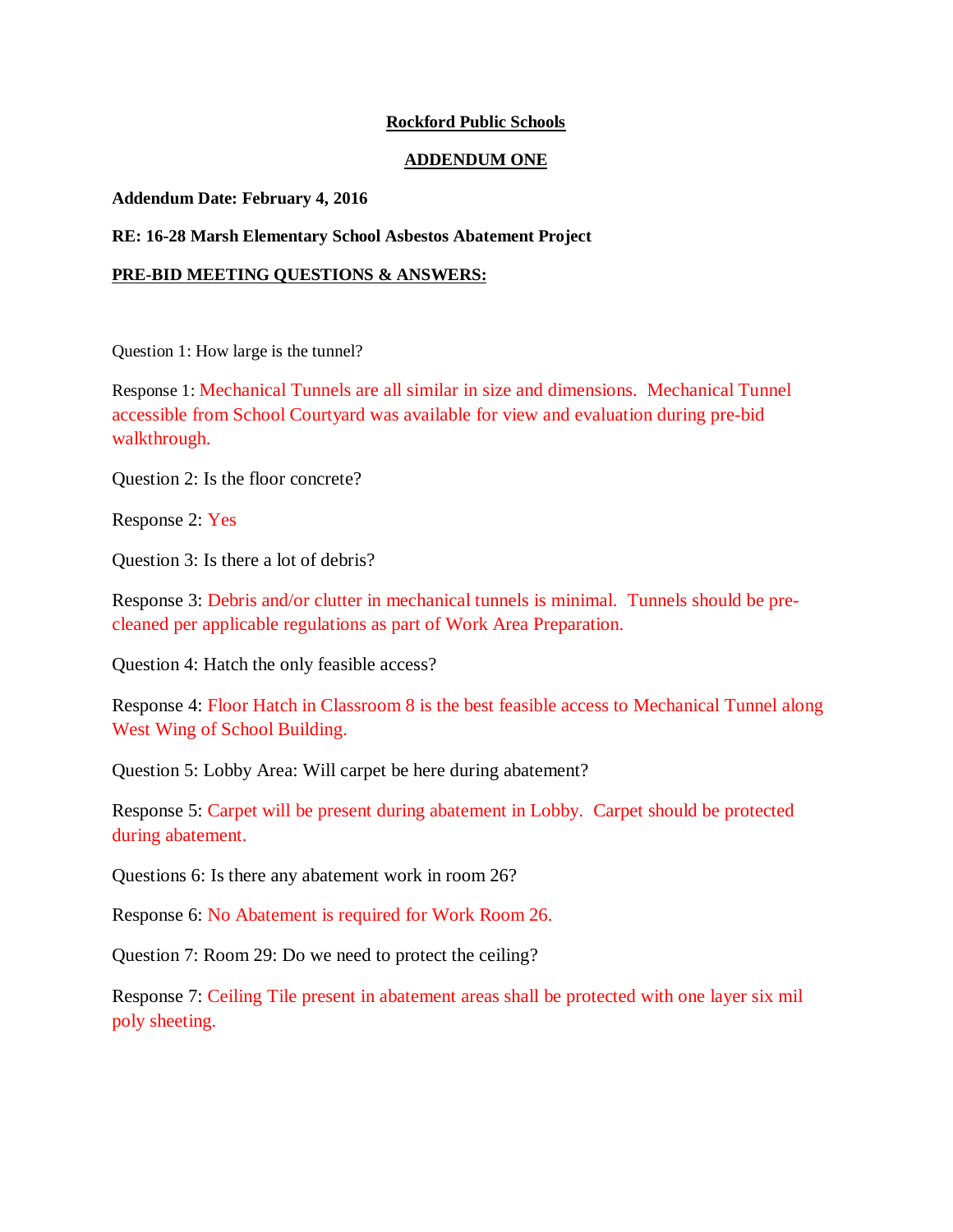#### **Rockford Public Schools**

#### **ADDENDUM ONE**

#### **Addendum Date: February 4, 2016**

#### **RE: 16-28 Marsh Elementary School Asbestos Abatement Project**

#### **PRE-BID MEETING QUESTIONS & ANSWERS:**

Question 1: How large is the tunnel?

Response 1: Mechanical Tunnels are all similar in size and dimensions. Mechanical Tunnel accessible from School Courtyard was available for view and evaluation during pre-bid walkthrough.

Question 2: Is the floor concrete?

Response 2: Yes

Question 3: Is there a lot of debris?

Response 3: Debris and/or clutter in mechanical tunnels is minimal. Tunnels should be precleaned per applicable regulations as part of Work Area Preparation.

Question 4: Hatch the only feasible access?

Response 4: Floor Hatch in Classroom 8 is the best feasible access to Mechanical Tunnel along West Wing of School Building.

Question 5: Lobby Area: Will carpet be here during abatement?

Response 5: Carpet will be present during abatement in Lobby. Carpet should be protected during abatement.

Questions 6: Is there any abatement work in room 26?

Response 6: No Abatement is required for Work Room 26.

Question 7: Room 29: Do we need to protect the ceiling?

Response 7: Ceiling Tile present in abatement areas shall be protected with one layer six mil poly sheeting.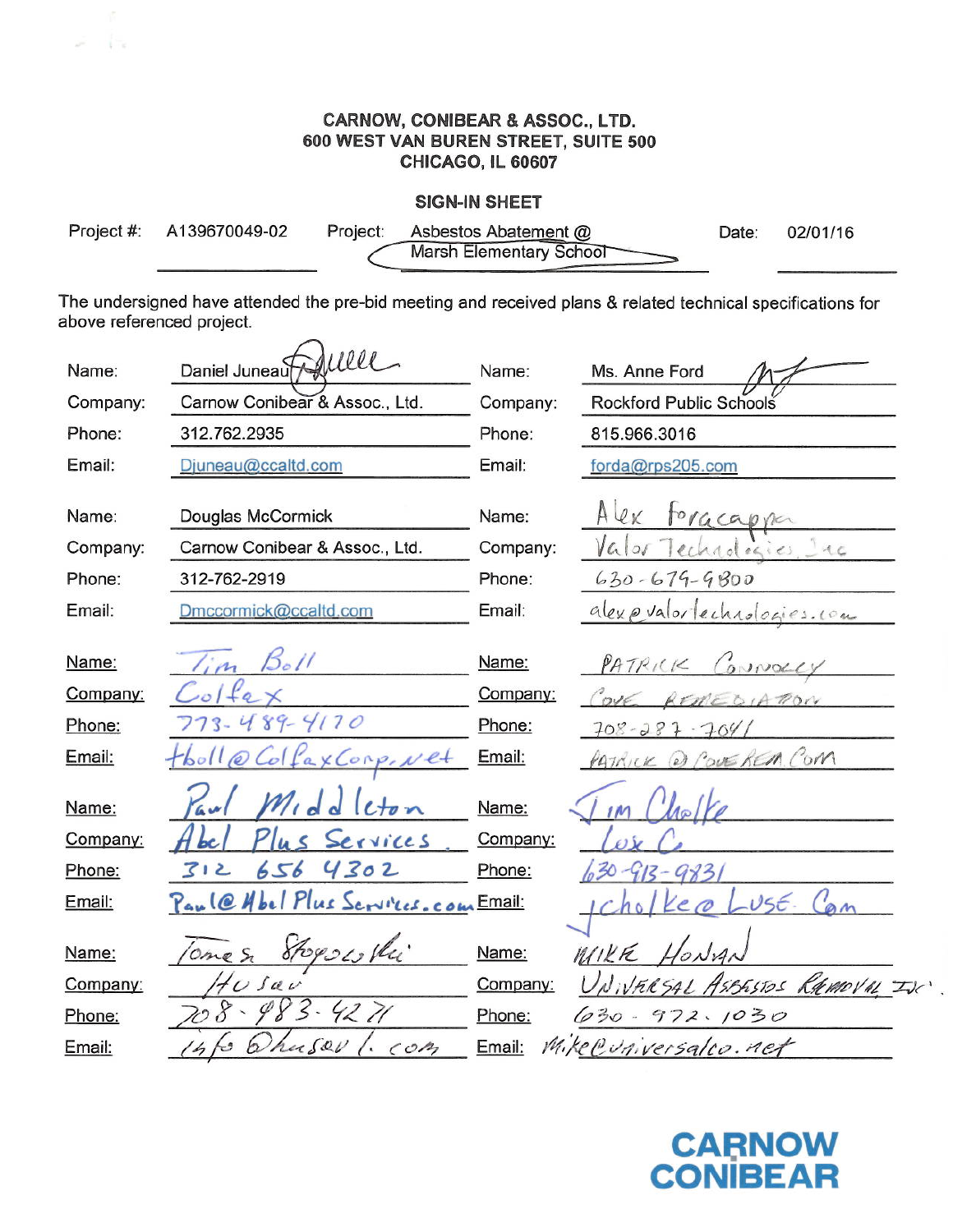### **CARNOW, CONIBEAR & ASSOC., LTD.** 600 WEST VAN BUREN STREET, SUITE 500 CHICAGO, IL 60607

 $1 -$ 

#### **SIGN-IN SHEET**

| Project #: A139670049-02 | Project: Asbestos Abatement @ | Date: 02/01/16 |
|--------------------------|-------------------------------|----------------|
|                          | Marsh Elementary School       |                |

The undersigned have attended the pre-bid meeting and received plans & related technical specifications for above referenced project.

| Name:    | ducel<br>Daniel Juneau               | Name:    | Ms. Anne Ford                |
|----------|--------------------------------------|----------|------------------------------|
|          |                                      |          |                              |
| Company: | Carnow Conibear & Assoc., Ltd.       | Company: | Rockford Public Schools      |
| Phone:   | 312.762.2935                         | Phone:   | 815.966.3016                 |
| Email:   | Djuneau@ccaltd.com                   | Email:   | forda@rps205.com             |
|          |                                      |          |                              |
| Name:    | Douglas McCormick                    | Name:    | Alex<br>toracappa            |
| Company: | Carnow Conibear & Assoc., Ltd.       | Company: | hadrics Inc                  |
| Phone:   | 312-762-2919                         | Phone:   | $630 - 679 - 9800$           |
| Email:   | Dmccormick@ccaltd.com                | Email:   | alexpualor lechnologies. com |
|          |                                      |          |                              |
| Name:    | 50/1                                 | Name:    | PATRICK<br>Connacty          |
| Company: |                                      | Company: |                              |
| Phone:   | 489-4170<br>$3 -$                    | Phone:   | $708 - 287 - 7041$           |
| Email:   | XConp. Net                           | Email:   | 2) COVEREM COM               |
|          |                                      |          |                              |
| Name:    |                                      | Name:    |                              |
| Company: | Services                             | Company: |                              |
| Phone:   | 4302<br>656<br>3<br>ے                | Phone:   |                              |
| Email:   | Paul@ Hbel Plus Services. com Email: |          | $USE -$                      |
|          |                                      |          |                              |
| Name:    | Stogses the<br>Ome S                 | Name:    | WIKE                         |
| Company: | $f\circ\mathcal{L}$                  | Company: | FRESAL ASBESTOS RAMOVAL INC  |
| Phone:   | $8 - 98$<br>4271                     | Phone:   | $030 -$<br>972.1030          |
| Email:   | usav<br>CO <sub>2</sub>              | Email:   | Mike Cuniversalco. net       |